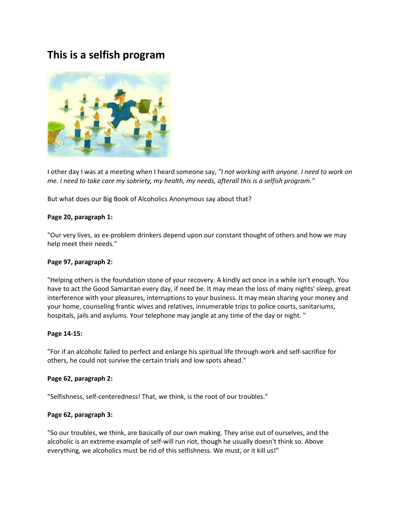# **This is a selfish program**



I other day I was at a meeting when I heard someone say, *"I not working with anyone. I need to work on me. I need to take care my sobriety, my health, my needs, afterall this is a selfish program."*

But what does our Big Book of Alcoholics Anonymous say about that?

## **Page 20, paragraph 1:**

"Our very lives, as ex-problem drinkers depend upon our constant thought of others and how we may help meet their needs."

### **Page 97, paragraph 2:**

"Helping others is the foundation stone of your recovery. A kindly act once in a while isn't enough. You have to act the Good Samaritan every day, if need be. It may mean the loss of many nights' sleep, great interference with your pleasures, interruptions to your business. It may mean sharing your money and your home, counseling frantic wives and relatives, innumerable trips to police courts, sanitariums, hospitals, jails and asylums. Your telephone may jangle at any time of the day or night. "

#### **Page 14-15:**

"For if an alcoholic failed to perfect and enlarge his spiritual life through work and self-sacrifice for others, he could not survive the certain trials and low spots ahead."

#### **Page 62, paragraph 2:**

"Selfishness, self-centeredness! That, we think, is the root of our troubles."

# **Page 62, paragraph 3:**

"So our troubles, we think, are basically of our own making. They arise out of ourselves, and the alcoholic is an extreme example of self-will run riot, though he usually doesn't think so. Above everything, we alcoholics must be rid of this selfishness. We must, or it kill us!"